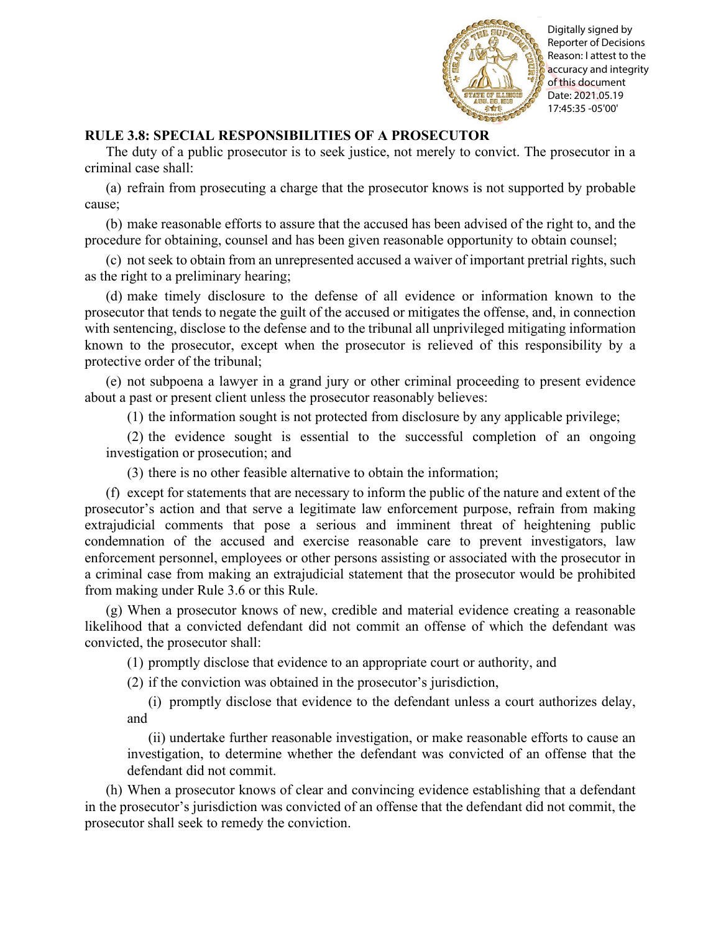

Digitally signed by Reporter of Decisions Reason: I attest to the accuracy and integrity of this document Date: 2021.05.19 17:45:35 -05'00'

## **RULE 3.8: SPECIAL RESPONSIBILITIES OF A PROSECUTOR**

The duty of a public prosecutor is to seek justice, not merely to convict. The prosecutor in a criminal case shall:

(a) refrain from prosecuting a charge that the prosecutor knows is not supported by probable cause;

(b) make reasonable efforts to assure that the accused has been advised of the right to, and the procedure for obtaining, counsel and has been given reasonable opportunity to obtain counsel;

(c) not seek to obtain from an unrepresented accused a waiver of important pretrial rights, such as the right to a preliminary hearing;

(d) make timely disclosure to the defense of all evidence or information known to the prosecutor that tends to negate the guilt of the accused or mitigates the offense, and, in connection with sentencing, disclose to the defense and to the tribunal all unprivileged mitigating information known to the prosecutor, except when the prosecutor is relieved of this responsibility by a protective order of the tribunal;

(e) not subpoena a lawyer in a grand jury or other criminal proceeding to present evidence about a past or present client unless the prosecutor reasonably believes:

(1) the information sought is not protected from disclosure by any applicable privilege;

(2) the evidence sought is essential to the successful completion of an ongoing investigation or prosecution; and

(3) there is no other feasible alternative to obtain the information;

(f) except for statements that are necessary to inform the public of the nature and extent of the prosecutor's action and that serve a legitimate law enforcement purpose, refrain from making extrajudicial comments that pose a serious and imminent threat of heightening public condemnation of the accused and exercise reasonable care to prevent investigators, law enforcement personnel, employees or other persons assisting or associated with the prosecutor in a criminal case from making an extrajudicial statement that the prosecutor would be prohibited from making under Rule 3.6 or this Rule.

(g) When a prosecutor knows of new, credible and material evidence creating a reasonable likelihood that a convicted defendant did not commit an offense of which the defendant was convicted, the prosecutor shall:

(1) promptly disclose that evidence to an appropriate court or authority, and

(2) if the conviction was obtained in the prosecutor's jurisdiction,

(i) promptly disclose that evidence to the defendant unless a court authorizes delay, and

(ii) undertake further reasonable investigation, or make reasonable efforts to cause an investigation, to determine whether the defendant was convicted of an offense that the defendant did not commit.

(h) When a prosecutor knows of clear and convincing evidence establishing that a defendant in the prosecutor's jurisdiction was convicted of an offense that the defendant did not commit, the prosecutor shall seek to remedy the conviction.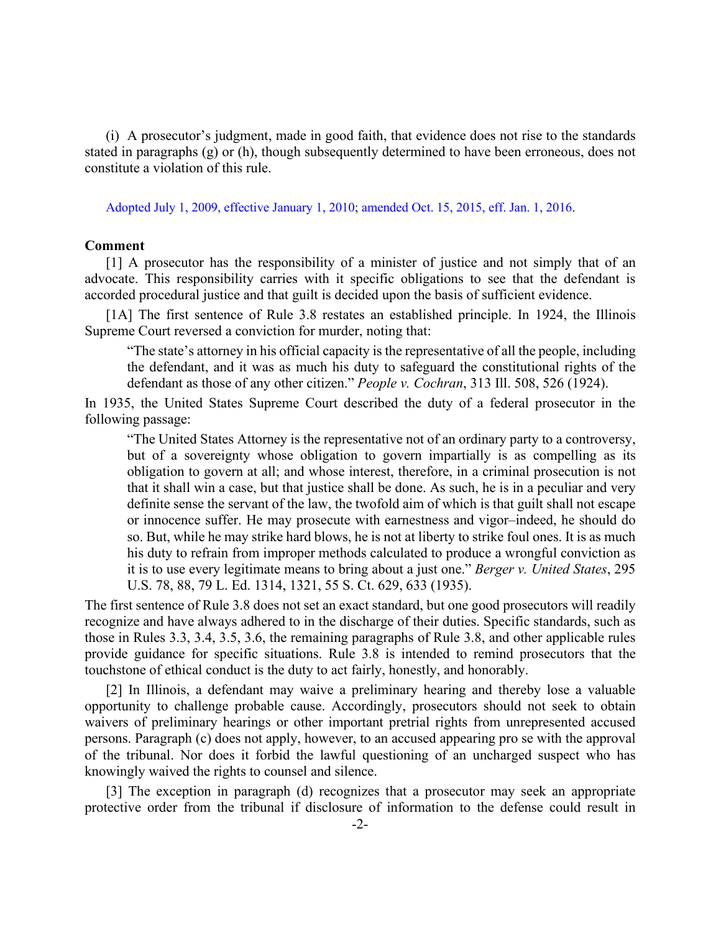(i) A prosecutor's judgment, made in good faith, that evidence does not rise to the standards stated in paragraphs (g) or (h), though subsequently determined to have been erroneous, does not constitute a violation of this rule.

[Adopted July 1, 2009, effective January 1, 2010;](http://www.illinoiscourts.gov/files/070109.pdf/amendment) [amended Oct. 15, 2015, eff.](http://www.illinoiscourts.gov/files/101515.pdf/amendment) Jan. 1, 2016.

## **Comment**

[1] A prosecutor has the responsibility of a minister of justice and not simply that of an advocate. This responsibility carries with it specific obligations to see that the defendant is accorded procedural justice and that guilt is decided upon the basis of sufficient evidence.

[1A] The first sentence of Rule 3.8 restates an established principle. In 1924, the Illinois Supreme Court reversed a conviction for murder, noting that:

"The state's attorney in his official capacity is the representative of all the people, including the defendant, and it was as much his duty to safeguard the constitutional rights of the defendant as those of any other citizen." *People v. Cochran*, 313 Ill. 508, 526 (1924).

In 1935, the United States Supreme Court described the duty of a federal prosecutor in the following passage:

"The United States Attorney is the representative not of an ordinary party to a controversy, but of a sovereignty whose obligation to govern impartially is as compelling as its obligation to govern at all; and whose interest, therefore, in a criminal prosecution is not that it shall win a case, but that justice shall be done. As such, he is in a peculiar and very definite sense the servant of the law, the twofold aim of which is that guilt shall not escape or innocence suffer. He may prosecute with earnestness and vigor–indeed, he should do so. But, while he may strike hard blows, he is not at liberty to strike foul ones. It is as much his duty to refrain from improper methods calculated to produce a wrongful conviction as it is to use every legitimate means to bring about a just one." *Berger v. United States*, 295 U.S. 78, 88, 79 L. Ed. 1314, 1321, 55 S. Ct. 629, 633 (1935).

The first sentence of Rule 3.8 does not set an exact standard, but one good prosecutors will readily recognize and have always adhered to in the discharge of their duties. Specific standards, such as those in Rules 3.3, 3.4, 3.5, 3.6, the remaining paragraphs of Rule 3.8, and other applicable rules provide guidance for specific situations. Rule 3.8 is intended to remind prosecutors that the touchstone of ethical conduct is the duty to act fairly, honestly, and honorably.

[2] In Illinois, a defendant may waive a preliminary hearing and thereby lose a valuable opportunity to challenge probable cause. Accordingly, prosecutors should not seek to obtain waivers of preliminary hearings or other important pretrial rights from unrepresented accused persons. Paragraph (c) does not apply, however, to an accused appearing pro se with the approval of the tribunal. Nor does it forbid the lawful questioning of an uncharged suspect who has knowingly waived the rights to counsel and silence.

[3] The exception in paragraph (d) recognizes that a prosecutor may seek an appropriate protective order from the tribunal if disclosure of information to the defense could result in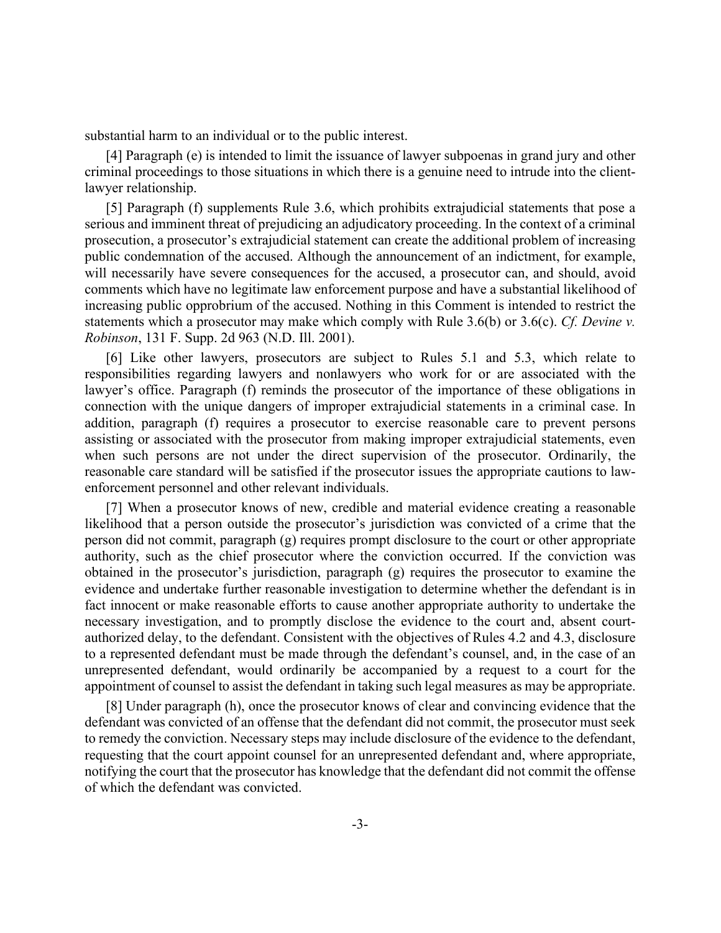substantial harm to an individual or to the public interest.

[4] Paragraph (e) is intended to limit the issuance of lawyer subpoenas in grand jury and other criminal proceedings to those situations in which there is a genuine need to intrude into the clientlawyer relationship.

[5] Paragraph (f) supplements Rule 3.6, which prohibits extrajudicial statements that pose a serious and imminent threat of prejudicing an adjudicatory proceeding. In the context of a criminal prosecution, a prosecutor's extrajudicial statement can create the additional problem of increasing public condemnation of the accused. Although the announcement of an indictment, for example, will necessarily have severe consequences for the accused, a prosecutor can, and should, avoid comments which have no legitimate law enforcement purpose and have a substantial likelihood of increasing public opprobrium of the accused. Nothing in this Comment is intended to restrict the statements which a prosecutor may make which comply with Rule 3.6(b) or 3.6(c). *Cf. Devine v. Robinson*, 131 F. Supp. 2d 963 (N.D. Ill. 2001).

[6] Like other lawyers, prosecutors are subject to Rules 5.1 and 5.3, which relate to responsibilities regarding lawyers and nonlawyers who work for or are associated with the lawyer's office. Paragraph (f) reminds the prosecutor of the importance of these obligations in connection with the unique dangers of improper extrajudicial statements in a criminal case. In addition, paragraph (f) requires a prosecutor to exercise reasonable care to prevent persons assisting or associated with the prosecutor from making improper extrajudicial statements, even when such persons are not under the direct supervision of the prosecutor. Ordinarily, the reasonable care standard will be satisfied if the prosecutor issues the appropriate cautions to lawenforcement personnel and other relevant individuals.

[7] When a prosecutor knows of new, credible and material evidence creating a reasonable likelihood that a person outside the prosecutor's jurisdiction was convicted of a crime that the person did not commit, paragraph (g) requires prompt disclosure to the court or other appropriate authority, such as the chief prosecutor where the conviction occurred. If the conviction was obtained in the prosecutor's jurisdiction, paragraph (g) requires the prosecutor to examine the evidence and undertake further reasonable investigation to determine whether the defendant is in fact innocent or make reasonable efforts to cause another appropriate authority to undertake the necessary investigation, and to promptly disclose the evidence to the court and, absent courtauthorized delay, to the defendant. Consistent with the objectives of Rules 4.2 and 4.3, disclosure to a represented defendant must be made through the defendant's counsel, and, in the case of an unrepresented defendant, would ordinarily be accompanied by a request to a court for the appointment of counsel to assist the defendant in taking such legal measures as may be appropriate.

[8] Under paragraph (h), once the prosecutor knows of clear and convincing evidence that the defendant was convicted of an offense that the defendant did not commit, the prosecutor must seek to remedy the conviction. Necessary steps may include disclosure of the evidence to the defendant, requesting that the court appoint counsel for an unrepresented defendant and, where appropriate, notifying the court that the prosecutor has knowledge that the defendant did not commit the offense of which the defendant was convicted.